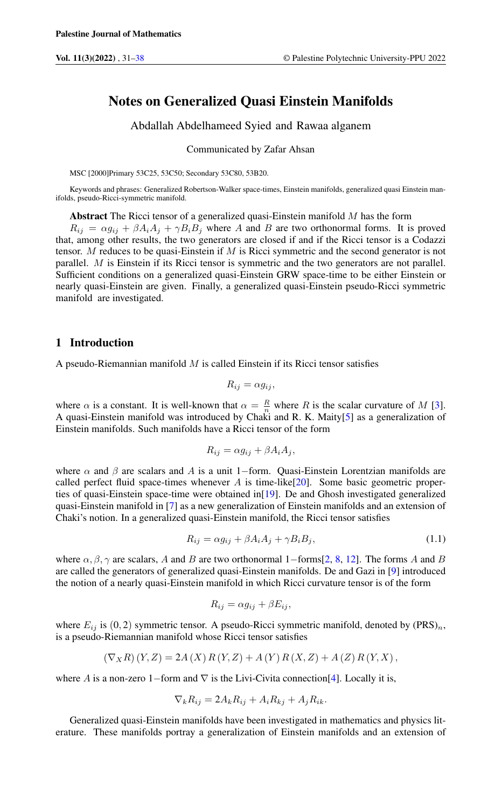# Notes on Generalized Quasi Einstein Manifolds

Abdallah Abdelhameed Syied and Rawaa alganem

Communicated by Zafar Ahsan

MSC [2000]Primary 53C25, 53C50; Secondary 53C80, 53B20.

Keywords and phrases: Generalized Robertson-Walker space-times, Einstein manifolds, generalized quasi Einstein manifolds, pseudo-Ricci-symmetric manifold.

Abstract The Ricci tensor of a generalized quasi-Einstein manifold  $M$  has the form

 $R_{ij} = \alpha g_{ij} + \beta A_i A_j + \gamma B_i B_j$  where A and B are two orthonormal forms. It is proved that, among other results, the two generators are closed if and if the Ricci tensor is a Codazzi tensor. M reduces to be quasi-Einstein if  $M$  is Ricci symmetric and the second generator is not parallel. M is Einstein if its Ricci tensor is symmetric and the two generators are not parallel. Sufficient conditions on a generalized quasi-Einstein GRW space-time to be either Einstein or nearly quasi-Einstein are given. Finally, a generalized quasi-Einstein pseudo-Ricci symmetric manifold are investigated.

### 1 Introduction

A pseudo-Riemannian manifold  $M$  is called Einstein if its Ricci tensor satisfies

$$
R_{ij} = \alpha g_{ij},
$$

where  $\alpha$  is a constant. It is well-known that  $\alpha = \frac{R}{n}$  where R is the scalar curvature of M [\[3\]](#page-6-1). A quasi-Einstein manifold was introduced by Chaki and R. K. Maity[\[5\]](#page-6-2) as a generalization of Einstein manifolds. Such manifolds have a Ricci tensor of the form

<span id="page-0-0"></span>
$$
R_{ij} = \alpha g_{ij} + \beta A_i A_j,
$$

where  $\alpha$  and  $\beta$  are scalars and A is a unit 1–form. Quasi-Einstein Lorentzian manifolds are called perfect fluid space-times whenever  $A$  is time-like[\[20\]](#page-6-3). Some basic geometric properties of quasi-Einstein space-time were obtained in[\[19\]](#page-6-4). De and Ghosh investigated generalized quasi-Einstein manifold in [\[7\]](#page-6-5) as a new generalization of Einstein manifolds and an extension of Chaki's notion. In a generalized quasi-Einstein manifold, the Ricci tensor satisfies

$$
R_{ij} = \alpha g_{ij} + \beta A_i A_j + \gamma B_i B_j,\tag{1.1}
$$

where  $\alpha, \beta, \gamma$  are scalars, A and B are two orthonormal 1–forms[\[2,](#page-6-6) [8,](#page-6-7) [12\]](#page-6-8). The forms A and B are called the generators of generalized quasi-Einstein manifolds. De and Gazi in [\[9\]](#page-6-9) introduced the notion of a nearly quasi-Einstein manifold in which Ricci curvature tensor is of the form

$$
R_{ij} = \alpha g_{ij} + \beta E_{ij},
$$

where  $E_{ij}$  is (0, 2) symmetric tensor. A pseudo-Ricci symmetric manifold, denoted by (PRS)<sub>n</sub>, is a pseudo-Riemannian manifold whose Ricci tensor satisfies

$$
(\nabla_X R)(Y,Z) = 2A(X) R(Y,Z) + A(Y) R(X,Z) + A(Z) R(Y,X),
$$

where A is a non-zero 1–form and  $\nabla$  is the Livi-Civita connection[\[4\]](#page-6-10). Locally it is,

$$
\nabla_k R_{ij} = 2A_k R_{ij} + A_i R_{kj} + A_j R_{ik}.
$$

Generalized quasi-Einstein manifolds have been investigated in mathematics and physics literature. These manifolds portray a generalization of Einstein manifolds and an extension of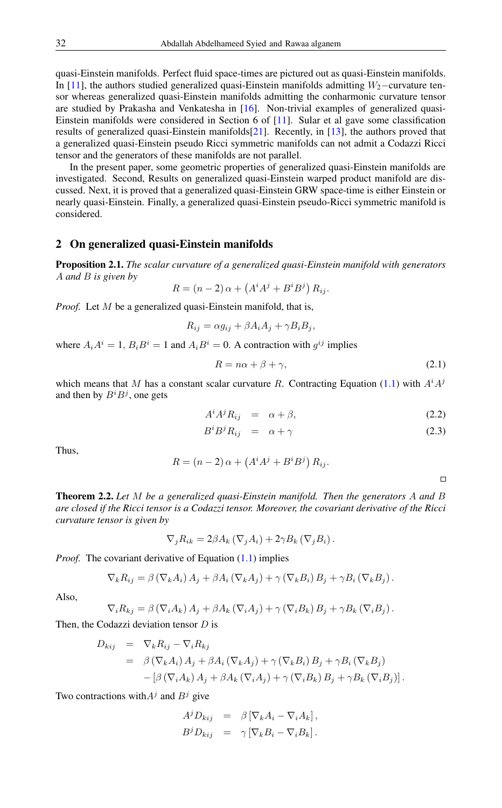quasi-Einstein manifolds. Perfect fluid space-times are pictured out as quasi-Einstein manifolds. In [\[11\]](#page-6-11), the authors studied generalized quasi-Einstein manifolds admitting  $W_2$ −curvature tensor whereas generalized quasi-Einstein manifolds admitting the conharmonic curvature tensor are studied by Prakasha and Venkatesha in [\[16\]](#page-6-12). Non-trivial examples of generalized quasi-Einstein manifolds were considered in Section 6 of [\[11\]](#page-6-11). Sular et al gave some classification results of generalized quasi-Einstein manifolds[\[21\]](#page-6-13). Recently, in [\[13\]](#page-6-14), the authors proved that a generalized quasi-Einstein pseudo Ricci symmetric manifolds can not admit a Codazzi Ricci tensor and the generators of these manifolds are not parallel.

In the present paper, some geometric properties of generalized quasi-Einstein manifolds are investigated. Second, Results on generalized quasi-Einstein warped product manifold are discussed. Next, it is proved that a generalized quasi-Einstein GRW space-time is either Einstein or nearly quasi-Einstein. Finally, a generalized quasi-Einstein pseudo-Ricci symmetric manifold is considered.

#### 2 On generalized quasi-Einstein manifolds

Proposition 2.1. *The scalar curvature of a generalized quasi-Einstein manifold with generators* A *and* B *is given by*

$$
R = (n-2)\,\alpha + \left(A^i A^j + B^i B^j\right) R_{ij}.
$$

*Proof.* Let M be a generalized quasi-Einstein manifold, that is,

$$
R_{ij} = \alpha g_{ij} + \beta A_i A_j + \gamma B_i B_j,
$$

where  $A_i A^i = 1$ ,  $B_i B^i = 1$  and  $A_i B^i = 0$ . A contraction with  $g^{ij}$  implies

$$
R = n\alpha + \beta + \gamma,\tag{2.1}
$$

which means that M has a constant scalar curvature R. Contracting Equation [\(1.1\)](#page-0-0) with  $A^{i}A^{j}$ and then by  $B^i B^j$ , one gets

$$
A^i A^j R_{ij} = \alpha + \beta, \qquad (2.2)
$$

$$
B^i B^j R_{ij} = \alpha + \gamma \tag{2.3}
$$

Thus,

$$
R = (n-2)\,\alpha + \left(A^i A^j + B^i B^j\right) R_{ij}.
$$

Theorem 2.2. *Let* M *be a generalized quasi-Einstein manifold. Then the generators* A *and* B *are closed if the Ricci tensor is a Codazzi tensor. Moreover, the covariant derivative of the Ricci curvature tensor is given by*

$$
\nabla_j R_{ik} = 2\beta A_k \left( \nabla_j A_i \right) + 2\gamma B_k \left( \nabla_j B_i \right).
$$

*Proof.* The covariant derivative of Equation [\(1.1\)](#page-0-0) implies

$$
\nabla_k R_{ij} = \beta \left( \nabla_k A_i \right) A_j + \beta A_i \left( \nabla_k A_j \right) + \gamma \left( \nabla_k B_i \right) B_j + \gamma B_i \left( \nabla_k B_j \right).
$$

Also,

$$
\nabla_i R_{kj} = \beta \left( \nabla_i A_k \right) A_j + \beta A_k \left( \nabla_i A_j \right) + \gamma \left( \nabla_i B_k \right) B_j + \gamma B_k \left( \nabla_i B_j \right).
$$

Then, the Codazzi deviation tensor D is

$$
D_{kij} = \nabla_k R_{ij} - \nabla_i R_{kj}
$$
  
=  $\beta (\nabla_k A_i) A_j + \beta A_i (\nabla_k A_j) + \gamma (\nabla_k B_i) B_j + \gamma B_i (\nabla_k B_j)$   

$$
- [\beta (\nabla_i A_k) A_j + \beta A_k (\nabla_i A_j) + \gamma (\nabla_i B_k) B_j + \gamma B_k (\nabla_i B_j)].
$$

Two contractions with  $A<sup>j</sup>$  and  $B<sup>j</sup>$  give

$$
A^j D_{kij} = \beta \left[ \nabla_k A_i - \nabla_i A_k \right],
$$
  

$$
B^j D_{kij} = \gamma \left[ \nabla_k B_i - \nabla_i B_k \right].
$$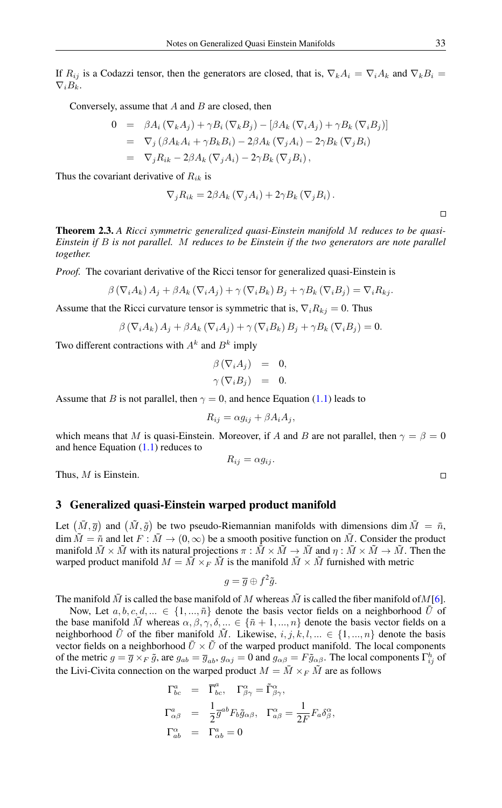If  $R_{ij}$  is a Codazzi tensor, then the generators are closed, that is,  $\nabla_k A_i = \nabla_i A_k$  and  $\nabla_k B_i =$  $\nabla_i B_k$ .

Conversely, assume that  $A$  and  $B$  are closed, then

$$
0 = \beta A_i (\nabla_k A_j) + \gamma B_i (\nabla_k B_j) - [\beta A_k (\nabla_i A_j) + \gamma B_k (\nabla_i B_j)]
$$
  
\n
$$
= \nabla_j (\beta A_k A_i + \gamma B_k B_i) - 2\beta A_k (\nabla_j A_i) - 2\gamma B_k (\nabla_j B_i)
$$
  
\n
$$
= \nabla_j R_{ik} - 2\beta A_k (\nabla_j A_i) - 2\gamma B_k (\nabla_j B_i),
$$

Thus the covariant derivative of  $R_{ik}$  is

$$
\nabla_j R_{ik} = 2\beta A_k \left( \nabla_j A_i \right) + 2\gamma B_k \left( \nabla_j B_i \right).
$$

Theorem 2.3. *A Ricci symmetric generalized quasi-Einstein manifold* M *reduces to be quasi-Einstein if* B *is not parallel.* M *reduces to be Einstein if the two generators are note parallel together.*

*Proof.* The covariant derivative of the Ricci tensor for generalized quasi-Einstein is

$$
\beta \left( \nabla_i A_k \right) A_j + \beta A_k \left( \nabla_i A_j \right) + \gamma \left( \nabla_i B_k \right) B_j + \gamma B_k \left( \nabla_i B_j \right) = \nabla_i R_{kj}.
$$

Assume that the Ricci curvature tensor is symmetric that is,  $\nabla_i R_{ki} = 0$ . Thus

$$
\beta(\nabla_i A_k) A_j + \beta A_k(\nabla_i A_j) + \gamma(\nabla_i B_k) B_j + \gamma B_k(\nabla_i B_j) = 0.
$$

Two different contractions with  $A^k$  and  $B^k$  imply

$$
\beta\left(\nabla_i A_j\right) = 0, \n\gamma\left(\nabla_i B_j\right) = 0.
$$

Assume that B is not parallel, then  $\gamma = 0$ , and hence Equation [\(1.1\)](#page-0-0) leads to

$$
R_{ij} = \alpha g_{ij} + \beta A_i A_j,
$$

which means that M is quasi-Einstein. Moreover, if A and B are not parallel, then  $\gamma = \beta = 0$ and hence Equation  $(1.1)$  reduces to

$$
R_{ij} = \alpha g_{ij}.
$$

Thus, M is Einstein.

#### 3 Generalized quasi-Einstein warped product manifold

Let  $(\bar{M}, \bar{g})$  and  $(\tilde{M}, \tilde{g})$  be two pseudo-Riemannian manifolds with dimensions dim  $\bar{M} = \bar{n}$ ,  $\dim \tilde{M} = \tilde{n}$  and let  $F : \tilde{M} \to (0, \infty)$  be a smooth positive function on  $\tilde{M}$ . Consider the product manifold  $\bar{M} \times \tilde{M}$  with its natural projections  $\pi : \bar{M} \times \tilde{M} \to \bar{M}$  and  $\eta : \bar{M} \times \tilde{M} \to \tilde{M}$ . Then the warped product manifold  $M = \overline{M} \times_F \tilde{M}$  is the manifold  $\overline{M} \times \tilde{M}$  furnished with metric

$$
g = \overline{g} \oplus f^2 \tilde{g}.
$$

The manifold  $\overline{M}$  is called the base manifold of M whereas  $\overline{M}$  is called the fiber manifold of  $M[6]$  $M[6]$ .

Now, Let  $a, b, c, d, ... \in \{1, ..., \bar{n}\}$  denote the basis vector fields on a neighborhood  $\bar{U}$  of the base manifold M whereas  $\alpha, \beta, \gamma, \delta, ... \in {\{\bar{n} + 1, ..., n\}}$  denote the basis vector fields on a neighborhood  $\tilde{U}$  of the fiber manifold  $\tilde{M}$ . Likewise,  $i, j, k, l, ... \in \{1, ..., n\}$  denote the basis vector fields on a neighborhood  $\bar{U} \times \bar{U}$  of the warped product manifold. The local components of the metric  $g = \overline{g} \times_F \tilde{g}$ , are  $g_{ab} = \overline{g}_{ab}$ ,  $g_{\alpha j} = 0$  and  $g_{\alpha \beta} = F \tilde{g}_{\alpha \beta}$ . The local components  $\Gamma_{ij}^h$  of the Livi-Civita connection on the warped product  $M = \overline{M} \times_F \tilde{M}$  are as follows

$$
\begin{array}{rcl} \Gamma^a_{bc} &=& \overline{\Gamma}^a_{bc}, \quad \Gamma^\alpha_{\beta\gamma} = \tilde{\Gamma}^\alpha_{\beta\gamma}, \\[2mm] \Gamma^a_{\alpha\beta} &=& \frac{1}{2} \overline{g}^{ab} F_b \tilde{g}_{\alpha\beta}, \quad \Gamma^\alpha_{a\beta} = \frac{1}{2F} F_a \delta^\alpha_\beta, \\[2mm] \Gamma^\alpha_{ab} &=& \Gamma^a_{\alpha b} = 0 \end{array}
$$

 $\Box$ 

 $\Box$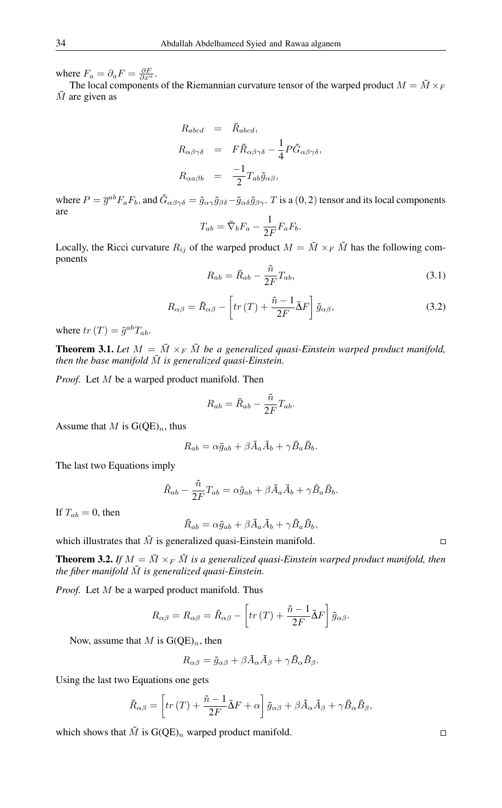where  $F_a = \partial_a F = \frac{\partial F}{\partial x^{\alpha}}$ .

The local components of the Riemannian curvature tensor of the warped product  $M = \overline{M} \times_F$  $\tilde{M}$  are given as

$$
R_{abcd} = \bar{R}_{abcd},
$$
  
\n
$$
R_{\alpha\beta\gamma\delta} = F\tilde{R}_{\alpha\beta\gamma\delta} - \frac{1}{4}P\tilde{G}_{\alpha\beta\gamma\delta},
$$
  
\n
$$
R_{\alpha a\beta b} = -\frac{1}{2}T_{ab}\tilde{g}_{\alpha\beta},
$$

where  $P = \overline{g}^{ab} F_a F_b$ , and  $\tilde{G}_{\alpha\beta\gamma\delta} = \tilde{g}_{\alpha\gamma}\tilde{g}_{\beta\delta} - \tilde{g}_{\alpha\delta}\tilde{g}_{\beta\gamma}$ . T is a (0, 2) tensor and its local components are

$$
T_{ab} = \bar{\nabla}_b F_a - \frac{1}{2F} F_a F_b.
$$

Locally, the Ricci curvature  $R_{ij}$  of the warped product  $M = \overline{M} \times_F \overline{M}$  has the following components

$$
R_{ab} = \bar{R}_{ab} - \frac{\tilde{n}}{2F}T_{ab},\tag{3.1}
$$

$$
R_{\alpha\beta} = \tilde{R}_{\alpha\beta} - \left[tr(T) + \frac{\tilde{n} - 1}{2F} \bar{\Delta}F\right] \tilde{g}_{\alpha\beta},
$$
\n(3.2)

where  $tr(T) = \bar{g}^{ab}T_{ab}$ .

**Theorem 3.1.** Let  $M = \overline{M} \times_F \tilde{M}$  be a generalized quasi-Einstein warped product manifold, *then the base manifold*  $\overline{M}$  *is generalized quasi-Einstein.* 

*Proof.* Let M be a warped product manifold. Then

$$
R_{ab} = \bar{R}_{ab} - \frac{\tilde{n}}{2F}T_{ab}.
$$

Assume that M is  $G(QE)<sub>n</sub>$ , thus

$$
R_{ab} = \alpha \bar{g}_{ab} + \beta \bar{A}_a \bar{A}_b + \gamma \bar{B}_a \bar{B}_b.
$$

The last two Equations imply

$$
\bar{R}_{ab} - \frac{\tilde{n}}{2F}T_{ab} = \alpha \bar{g}_{ab} + \beta \bar{A}_a \bar{A}_b + \gamma \bar{B}_a \bar{B}_b.
$$

If  $T_{ab} = 0$ , then

$$
\bar{R}_{ab} = \alpha \bar{g}_{ab} + \beta \bar{A}_a \bar{A}_b + \gamma \bar{B}_a \bar{B}_b,
$$

which illustrates that  $\overline{M}$  is generalized quasi-Einstein manifold.

**Theorem 3.2.** If  $M = \overline{M} \times_F \tilde{M}$  is a generalized quasi-Einstein warped product manifold, then *the fiber manifold*  $\tilde{M}$  *is generalized quasi-Einstein.* 

*Proof.* Let M be a warped product manifold. Thus

$$
R_{\alpha\beta} = R_{\alpha\beta} = \tilde{R}_{\alpha\beta} - \left[tr(T) + \frac{\tilde{n}-1}{2F}\tilde{\Delta}F\right]\tilde{g}_{\alpha\beta}.
$$

Now, assume that M is  $G(OE)<sub>n</sub>$ , then

$$
R_{\alpha\beta} = \tilde{g}_{\alpha\beta} + \beta \tilde{A}_{\alpha} \tilde{A}_{\beta} + \gamma \tilde{B}_{\alpha} \tilde{B}_{\beta}.
$$

Using the last two Equations one gets

$$
\tilde{R}_{\alpha\beta} = \left[tr(T) + \frac{\tilde{n}-1}{2F}\bar{\Delta}F + \alpha\right]\tilde{g}_{\alpha\beta} + \beta\tilde{A}_{\alpha}\tilde{A}_{\beta} + \gamma\tilde{B}_{\alpha}\tilde{B}_{\beta},
$$

which shows that  $\tilde{M}$  is  $G(QE)<sub>n</sub>$  warped product manifold.

 $\Box$ 

 $\Box$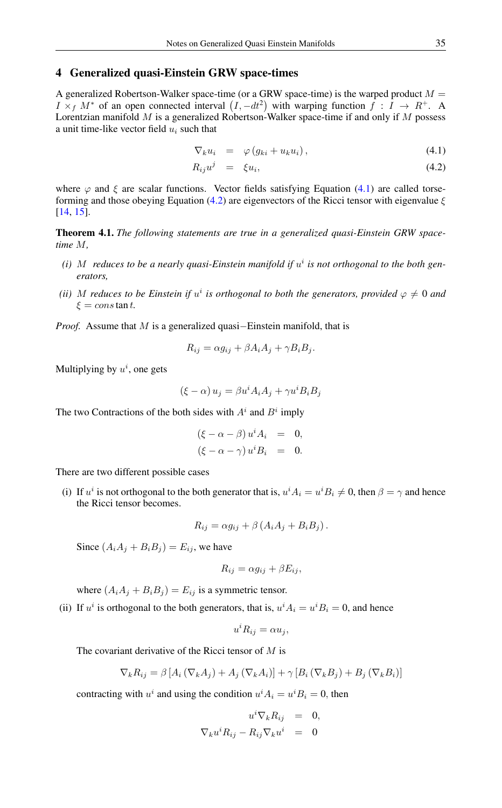#### 4 Generalized quasi-Einstein GRW space-times

A generalized Robertson-Walker space-time (or a GRW space-time) is the warped product  $M =$  $I \times_f M^*$  of an open connected interval  $(I, -dt^2)$  with warping function  $f : I \to R^+$ . A Lorentzian manifold  $M$  is a generalized Robertson-Walker space-time if and only if  $M$  possess a unit time-like vector field  $u_i$  such that

<span id="page-4-0"></span>
$$
\nabla_k u_i = \varphi \left( g_{ki} + u_k u_i \right), \tag{4.1}
$$

$$
R_{ij}u^j = \xi u_i, \tag{4.2}
$$

where  $\varphi$  and  $\xi$  are scalar functions. Vector fields satisfying Equation [\(4.1\)](#page-4-0) are called torse-forming and those obeying Equation [\(4.2\)](#page-4-0) are eigenvectors of the Ricci tensor with eigenvalue  $\xi$ [\[14,](#page-6-16) [15\]](#page-6-17).

Theorem 4.1. *The following statements are true in a generalized quasi-Einstein GRW spacetime* M*,*

- (*i*) M reduces to be a nearly quasi-Einstein manifold if  $u^i$  is not orthogonal to the both gen*erators,*
- (*ii*) M reduces to be Einstein if  $u^i$  is orthogonal to both the generators, provided  $\varphi \neq 0$  and  $\xi = \cos \tan t$ .

*Proof.* Assume that M is a generalized quasi–Einstein manifold, that is

$$
R_{ij} = \alpha g_{ij} + \beta A_i A_j + \gamma B_i B_j.
$$

Multiplying by  $u^i$ , one gets

$$
(\xi - \alpha) u_j = \beta u^i A_i A_j + \gamma u^i B_i B_j
$$

The two Contractions of the both sides with  $A^i$  and  $B^i$  imply

$$
(\xi - \alpha - \beta) u^i A_i = 0,
$$
  

$$
(\xi - \alpha - \gamma) u^i B_i = 0.
$$

There are two different possible cases

(i) If  $u^i$  is not orthogonal to the both generator that is,  $u^i A_i = u^i B_i \neq 0$ , then  $\beta = \gamma$  and hence the Ricci tensor becomes.

$$
R_{ij} = \alpha g_{ij} + \beta \left( A_i A_j + B_i B_j \right).
$$

Since  $(A_iA_j + B_iB_j) = E_{ij}$ , we have

$$
R_{ij} = \alpha g_{ij} + \beta E_{ij},
$$

where  $(A_iA_j + B_iB_j) = E_{ij}$  is a symmetric tensor.

(ii) If  $u^i$  is orthogonal to the both generators, that is,  $u^i A_i = u^i B_i = 0$ , and hence

$$
u^i R_{ij} = \alpha u_j,
$$

The covariant derivative of the Ricci tensor of  $M$  is

$$
\nabla_k R_{ij} = \beta \left[ A_i \left( \nabla_k A_j \right) + A_j \left( \nabla_k A_i \right) \right] + \gamma \left[ B_i \left( \nabla_k B_j \right) + B_j \left( \nabla_k B_i \right) \right]
$$

contracting with  $u^i$  and using the condition  $u^i A_i = u^i B_i = 0$ , then

$$
u^{i} \nabla_{k} R_{ij} = 0,
$$
  

$$
\nabla_{k} u^{i} R_{ij} - R_{ij} \nabla_{k} u^{i} = 0
$$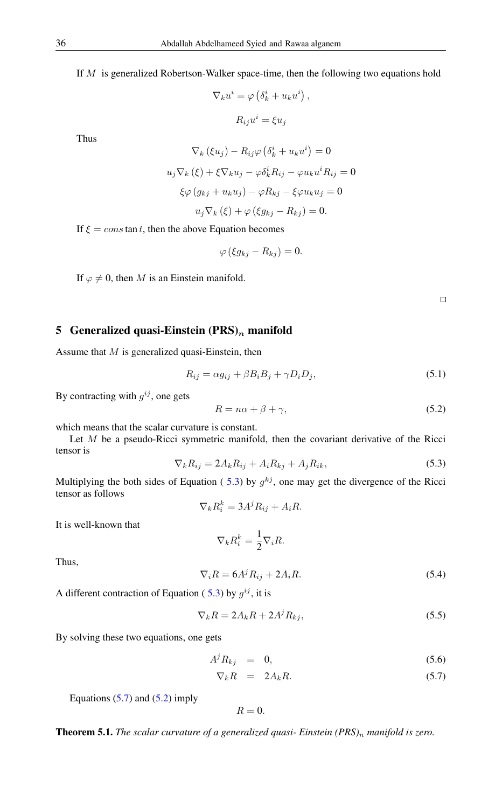If  $M$  is generalized Robertson-Walker space-time, then the following two equations hold

$$
\nabla_k u^i = \varphi \left( \delta_k^i + u_k u^i \right),
$$

$$
R_{ij} u^i = \xi u_j
$$

Thus

$$
\nabla_k (\xi u_j) - R_{ij}\varphi (\delta_k^i + u_k u^i) = 0
$$
  

$$
u_j \nabla_k (\xi) + \xi \nabla_k u_j - \varphi \delta_k^i R_{ij} - \varphi u_k u^i R_{ij} = 0
$$
  

$$
\xi \varphi (g_{kj} + u_k u_j) - \varphi R_{kj} - \xi \varphi u_k u_j = 0
$$
  

$$
u_j \nabla_k (\xi) + \varphi (\xi g_{kj} - R_{kj}) = 0.
$$

If  $\xi = \cos \tan t$ , then the above Equation becomes

$$
\varphi\left(\xi g_{kj}-R_{kj}\right)=0.
$$

If  $\varphi \neq 0$ , then M is an Einstein manifold.

 $\Box$ 

## 5 Generalized quasi-Einstein  $(PRS)_n$  manifold

Assume that  $M$  is generalized quasi-Einstein, then

<span id="page-5-2"></span>
$$
R_{ij} = \alpha g_{ij} + \beta B_i B_j + \gamma D_i D_j, \qquad (5.1)
$$

By contracting with  $g^{ij}$ , one gets

$$
R = n\alpha + \beta + \gamma,\tag{5.2}
$$

which means that the scalar curvature is constant.

<span id="page-5-0"></span>Let  $M$  be a pseudo-Ricci symmetric manifold, then the covariant derivative of the Ricci tensor is

$$
\nabla_k R_{ij} = 2A_k R_{ij} + A_i R_{kj} + A_j R_{ik},\tag{5.3}
$$

Multiplying the both sides of Equation ([5.3\)](#page-5-0) by  $g^{kj}$ , one may get the divergence of the Ricci tensor as follows

$$
\nabla_k R_i^k = 3A^j R_{ij} + A_i R.
$$

It is well-known that

$$
\nabla_k R_i^k = \frac{1}{2} \nabla_i R.
$$

Thus,

$$
\nabla_i R = 6A^j R_{ij} + 2A_i R. \tag{5.4}
$$

A different contraction of Equation ([5.3\)](#page-5-0) by  $g^{ij}$ , it is

$$
\nabla_k R = 2A_k R + 2A^j R_{kj},\tag{5.5}
$$

By solving these two equations, one gets

<span id="page-5-1"></span>
$$
A^j R_{kj} = 0, \t\t(5.6)
$$

$$
\nabla_k R = 2A_k R. \tag{5.7}
$$

Equations  $(5.7)$  and  $(5.2)$  imply

$$
R=0.
$$

Theorem 5.1. *The scalar curvature of a generalized quasi- Einstein (PRS)*<sup>n</sup> *manifold is zero.*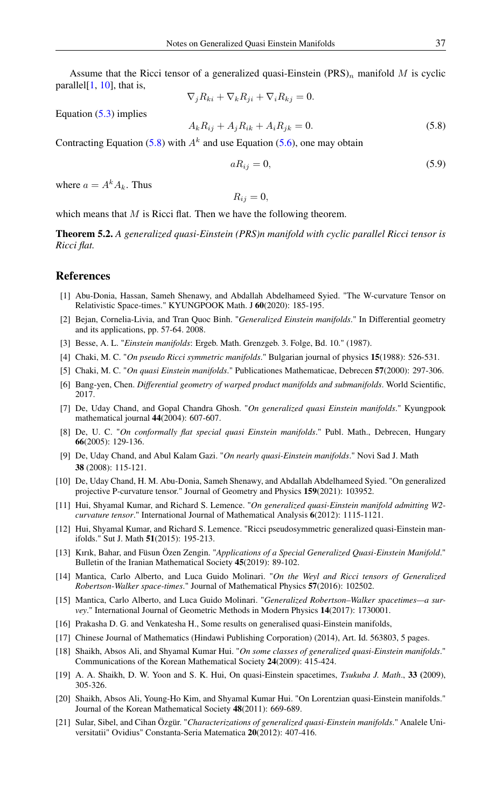Assume that the Ricci tensor of a generalized quasi-Einstein  $(PRS)_n$  manifold M is cyclic parallel $[1, 10]$  $[1, 10]$  $[1, 10]$ , that is,

<span id="page-6-20"></span>
$$
\nabla_j R_{ki} + \nabla_k R_{ji} + \nabla_i R_{kj} = 0.
$$

Equation [\(5.3\)](#page-5-0) implies

$$
f_{\rm{max}}(x)=\frac{1}{2}x^2+\frac{1}{2}x^2+\frac{1}{2}x^2+\frac{1}{2}x^2+\frac{1}{2}x^2+\frac{1}{2}x^2+\frac{1}{2}x^2+\frac{1}{2}x^2+\frac{1}{2}x^2+\frac{1}{2}x^2+\frac{1}{2}x^2+\frac{1}{2}x^2+\frac{1}{2}x^2+\frac{1}{2}x^2+\frac{1}{2}x^2+\frac{1}{2}x^2+\frac{1}{2}x^2+\frac{1}{2}x^2+\frac{1}{2}x^2+\frac{1}{2}x^2+\frac{1}{2}x^2+\frac{1}{2}x^2+\frac{1}{2}x^2+\frac{1}{2}x^2+\frac{1}{2}x^2+\frac{1}{2}x^2+\frac{1}{2}x^2+\frac{1}{2}x^2+\frac{1}{2}x^2+\frac{1}{2}x^2+\frac{1}{2}x^2+\frac{1}{2}x^2+\frac{1}{2}x^2+\frac{1}{2}x^2+\frac{1}{2}x^2+\frac{1}{2}x^2+\frac{1}{2}x^2+\frac{1}{2}x^2+\frac{1}{2}x^2+\frac{1}{2}x^2+\frac{1}{2}x^2+\frac{1}{2}x^2+\frac{1}{2}x^2+\frac{1}{2}x^2+\frac{1}{2}x^2+\frac{1}{2}x^2+\frac{1}{2}x^2+\frac{1}{2}x^2+\frac{1}{2}x^2+\frac{1}{2}x^2+\frac{1}{2}x^2+\frac{1}{2}x^2+\frac{1}{2}x^2+\frac{1}{2}x^2+\frac{1}{2}x^2+\frac{1}{2}x^2+\frac{1}{2}x^2+\frac{1}{2}x^2+\frac{1}{2}x^2+\frac{1}{2}x^2+\frac{1}{2}x^2+\frac{1}{2}x^2+\frac{1}{2}x^2+\frac{1}{2}x^2+\frac{1}{2}x^2+\frac{1}{2}x^2+\frac{1}{2}x^2+\frac{1}{2}x^2+\frac{1}{2}x^2+\frac{1}{2}x^2+\frac{1}{2}x^2+\frac{1}{2}x^2+\frac{1}{2}x^2+\frac{1}{2}x^2+\frac{1}{2}x^
$$

 $A_k R_{ij} + A_j R_{ik} + A_i R_{jk} = 0.$  (5.8)

Contracting Equation [\(5.8\)](#page-6-20) with  $A<sup>k</sup>$  and use Equation [\(5.6\)](#page-5-1), one may obtain

$$
aR_{ij} = 0,\t\t(5.9)
$$

where  $a = A^k A_k$ . Thus

$$
R_{ij}=0,
$$

which means that  $M$  is Ricci flat. Then we have the following theorem.

Theorem 5.2. *A generalized quasi-Einstein (PRS)n manifold with cyclic parallel Ricci tensor is Ricci flat.*

#### <span id="page-6-0"></span>References

- <span id="page-6-18"></span>[1] Abu-Donia, Hassan, Sameh Shenawy, and Abdallah Abdelhameed Syied. "The W-curvature Tensor on Relativistic Space-times." KYUNGPOOK Math. J 60(2020): 185-195.
- <span id="page-6-6"></span>[2] Bejan, Cornelia-Livia, and Tran Quoc Binh. "*Generalized Einstein manifolds*." In Differential geometry and its applications, pp. 57-64. 2008.
- <span id="page-6-1"></span>[3] Besse, A. L. "*Einstein manifolds*: Ergeb. Math. Grenzgeb. 3. Folge, Bd. 10." (1987).
- <span id="page-6-10"></span>[4] Chaki, M. C. "*On pseudo Ricci symmetric manifolds*." Bulgarian journal of physics 15(1988): 526-531.
- <span id="page-6-2"></span>[5] Chaki, M. C. "*On quasi Einstein manifolds*." Publicationes Mathematicae, Debrecen 57(2000): 297-306.
- <span id="page-6-15"></span>[6] Bang-yen, Chen. *Differential geometry of warped product manifolds and submanifolds*. World Scientific, 2017.
- <span id="page-6-5"></span>[7] De, Uday Chand, and Gopal Chandra Ghosh. "*On generalized quasi Einstein manifolds*." Kyungpook mathematical journal 44(2004): 607-607.
- <span id="page-6-7"></span>[8] De, U. C. "*On conformally flat special quasi Einstein manifolds*." Publ. Math., Debrecen, Hungary 66(2005): 129-136.
- <span id="page-6-9"></span>[9] De, Uday Chand, and Abul Kalam Gazi. "*On nearly quasi-Einstein manifolds*." Novi Sad J. Math 38 (2008): 115-121.
- <span id="page-6-19"></span>[10] De, Uday Chand, H. M. Abu-Donia, Sameh Shenawy, and Abdallah Abdelhameed Syied. "On generalized projective P-curvature tensor." Journal of Geometry and Physics 159(2021): 103952.
- <span id="page-6-11"></span>[11] Hui, Shyamal Kumar, and Richard S. Lemence. "*On generalized quasi-Einstein manifold admitting W2 curvature tensor*." International Journal of Mathematical Analysis 6(2012): 1115-1121.
- <span id="page-6-8"></span>[12] Hui, Shyamal Kumar, and Richard S. Lemence. "Ricci pseudosymmetric generalized quasi-Einstein manifolds." Sut J. Math 51(2015): 195-213.
- <span id="page-6-14"></span>[13] Kırık, Bahar, and Füsun Özen Zengin. "*Applications of a Special Generalized Quasi-Einstein Manifold*." Bulletin of the Iranian Mathematical Society 45(2019): 89-102.
- <span id="page-6-16"></span>[14] Mantica, Carlo Alberto, and Luca Guido Molinari. "*On the Weyl and Ricci tensors of Generalized Robertson-Walker space-times*." Journal of Mathematical Physics 57(2016): 102502.
- <span id="page-6-17"></span>[15] Mantica, Carlo Alberto, and Luca Guido Molinari. "*Generalized Robertson–Walker spacetimes—a survey*." International Journal of Geometric Methods in Modern Physics 14(2017): 1730001.
- <span id="page-6-12"></span>[16] Prakasha D. G. and Venkatesha H., Some results on generalised quasi-Einstein manifolds,
- [17] Chinese Journal of Mathematics (Hindawi Publishing Corporation) (2014), Art. Id. 563803, 5 pages.
- [18] Shaikh, Absos Ali, and Shyamal Kumar Hui. "*On some classes of generalized quasi-Einstein manifolds*." Communications of the Korean Mathematical Society 24(2009): 415-424.
- <span id="page-6-4"></span>[19] A. A. Shaikh, D. W. Yoon and S. K. Hui, On quasi-Einstein spacetimes, *Tsukuba J. Math*., 33 (2009), 305-326.
- <span id="page-6-3"></span>[20] Shaikh, Absos Ali, Young-Ho Kim, and Shyamal Kumar Hui. "On Lorentzian quasi-Einstein manifolds." Journal of the Korean Mathematical Society 48(2011): 669-689.
- <span id="page-6-13"></span>[21] Sular, Sibel, and Cihan Özgür. "*Characterizations of generalized quasi-Einstein manifolds*." Analele Universitatii" Ovidius" Constanta-Seria Matematica 20(2012): 407-416.